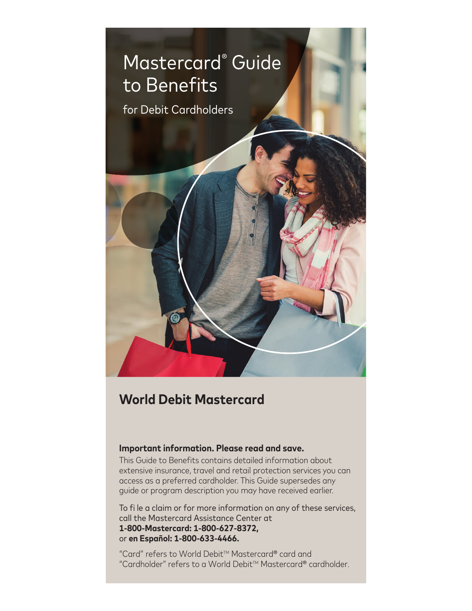

# **World Debit Mastercard**

#### **Important information. Please read and save.**

This Guide to Benefits contains detailed information about extensive insurance, travel and retail protection services you can access as a preferred cardholder. This Guide supersedes any guide or program description you may have received earlier.

To fi le a claim or for more information on any of these services, call the Mastercard Assistance Center at **1-800-Mastercard: 1-800-627-8372,** or **en Español: 1-800-633-4466.**

"Card" refers to World Debit<sup>™</sup> Mastercard® card and "Cardholder" refers to a World Debit<sup>™</sup> Mastercard® cardholder.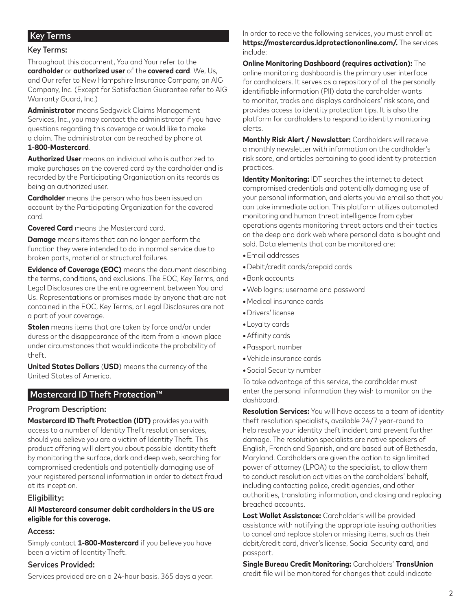## Key Terms

#### Key Terms:

Throughout this document, You and Your refer to the **cardholder** or **authorized user** of the **covered card**. We, Us, and Our refer to New Hampshire Insurance Company, an AIG Company, Inc. (Except for Satisfaction Guarantee refer to AIG Warranty Guard, Inc.)

**Administrator** means Sedgwick Claims Management Services, Inc., you may contact the administrator if you have questions regarding this coverage or would like to make a claim. The administrator can be reached by phone at **1-800-Mastercard**.

**Authorized User** means an individual who is authorized to make purchases on the covered card by the cardholder and is recorded by the Participating Organization on its records as being an authorized user.

**Cardholder** means the person who has been issued an account by the Participating Organization for the covered card.

**Covered Card** means the Mastercard card.

**Damage** means items that can no longer perform the function they were intended to do in normal service due to broken parts, material or structural failures.

**Evidence of Coverage (EOC)** means the document describing the terms, conditions, and exclusions. The EOC, Key Terms, and Legal Disclosures are the entire agreement between You and Us. Representations or promises made by anyone that are not contained in the EOC, Key Terms, or Legal Disclosures are not a part of your coverage.

**Stolen** means items that are taken by force and/or under duress or the disappearance of the item from a known place under circumstances that would indicate the probability of theft.

**United States Dollars** (**USD**) means the currency of the United States of America.

## Mastercard ID Theft Protection™

#### Program Description:

**Mastercard ID Theft Protection (IDT)** provides you with access to a number of Identity Theft resolution services, should you believe you are a victim of Identity Theft. This product offering will alert you about possible identity theft by monitoring the surface, dark and deep web, searching for compromised credentials and potentially damaging use of your registered personal information in order to detect fraud at its inception.

#### Eligibility:

## **All Mastercard consumer debit cardholders in the US are eligible for this coverage.**

#### Access:

Simply contact **1-800-Mastercard** if you believe you have been a victim of Identity Theft.

#### Services Provided:

Services provided are on a 24-hour basis, 365 days a year.

In order to receive the following services, you must enroll at **https://mastercardus.idprotectiononline.com/.** The services include:

**Online Monitoring Dashboard (requires activation):** The online monitoring dashboard is the primary user interface for cardholders. It serves as a repository of all the personally identifiable information (PII) data the cardholder wants to monitor, tracks and displays cardholders' risk score, and provides access to identity protection tips. It is also the platform for cardholders to respond to identity monitoring alerts.

**Monthly Risk Alert / Newsletter:** Cardholders will receive a monthly newsletter with information on the cardholder's risk score, and articles pertaining to good identity protection practices.

**Identity Monitoring: IDT searches the internet to detect** compromised credentials and potentially damaging use of your personal information, and alerts you via email so that you can take immediate action. This platform utilizes automated monitoring and human threat intelligence from cyber operations agents monitoring threat actors and their tactics on the deep and dark web where personal data is bought and sold. Data elements that can be monitored are:

- **•**Email addresses
- **•**Debit/credit cards/prepaid cards
- **•**Bank accounts
- **•**Web logins; username and password
- **•**Medical insurance cards
- **•**Drivers' license
- **•**Loyalty cards
- **•**Affinity cards
- **•**Passport number
- **•**Vehicle insurance cards
- **•**Social Security number

To take advantage of this service, the cardholder must enter the personal information they wish to monitor on the dashboard.

**Resolution Services:** You will have access to a team of identity theft resolution specialists, available 24/7 year-round to help resolve your identity theft incident and prevent further damage. The resolution specialists are native speakers of English, French and Spanish, and are based out of Bethesda, Maryland. Cardholders are given the option to sign limited power of attorney (LPOA) to the specialist, to allow them to conduct resolution activities on the cardholders' behalf, including contacting police, credit agencies, and other authorities, translating information, and closing and replacing breached accounts.

**Lost Wallet Assistance:** Cardholder's will be provided assistance with notifying the appropriate issuing authorities to cancel and replace stolen or missing items, such as their debit/credit card, driver's license, Social Security card, and passport.

**Single Bureau Credit Monitoring:** Cardholders' **TransUnion** credit file will be monitored for changes that could indicate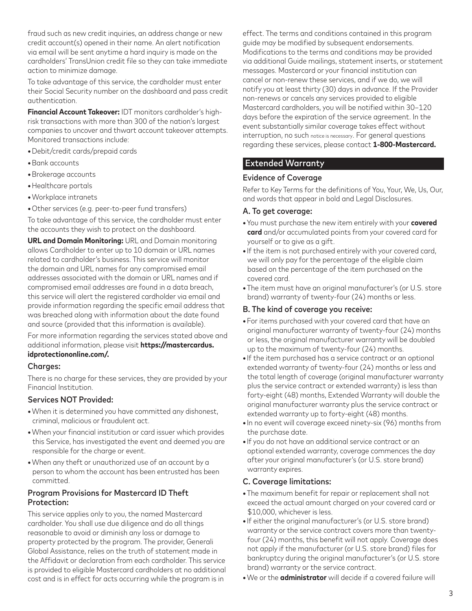fraud such as new credit inquiries, an address change or new credit account(s) opened in their name. An alert notification via email will be sent anytime a hard inquiry is made on the cardholders' TransUnion credit file so they can take immediate action to minimize damage.

To take advantage of this service, the cardholder must enter their Social Security number on the dashboard and pass credit authentication.

**Financial Account Takeover:** IDT monitors cardholder's highrisk transactions with more than 300 of the nation's largest companies to uncover and thwart account takeover attempts. Monitored transactions include:

- **•**Debit/credit cards/prepaid cards
- **•**Bank accounts
- **•**Brokerage accounts
- **•**Healthcare portals
- **•**Workplace intranets
- **•**Other services (e.g. peer-to-peer fund transfers)

To take advantage of this service, the cardholder must enter the accounts they wish to protect on the dashboard.

**URL and Domain Monitoring:** URL and Domain monitoring allows Cardholder to enter up to 10 domain or URL names related to cardholder's business. This service will monitor the domain and URL names for any compromised email addresses associated with the domain or URL names and if compromised email addresses are found in a data breach, this service will alert the registered cardholder via email and provide information regarding the specific email address that was breached along with information about the date found and source (provided that this information is available).

For more information regarding the services stated above and additional information, please visit **https://mastercardus. idprotectiononline.com/.**

#### Charaes:

There is no charge for these services, they are provided by your Financial Institution.

#### Services NOT Provided:

- **•**When it is determined you have committed any dishonest, criminal, malicious or fraudulent act.
- **•**When your financial institution or card issuer which provides this Service, has investigated the event and deemed you are responsible for the charge or event.
- **•**When any theft or unauthorized use of an account by a person to whom the account has been entrusted has been committed.

## Program Provisions for Mastercard ID Theft Protection:

This service applies only to you, the named Mastercard cardholder. You shall use due diligence and do all things reasonable to avoid or diminish any loss or damage to property protected by the program. The provider, Generali Global Assistance, relies on the truth of statement made in the Affidavit or declaration from each cardholder. This service is provided to eligible Mastercard cardholders at no additional cost and is in effect for acts occurring while the program is in

effect. The terms and conditions contained in this program guide may be modified by subsequent endorsements. Modifications to the terms and conditions may be provided via additional Guide mailings, statement inserts, or statement messages. Mastercard or your financial institution can cancel or non-renew these services, and if we do, we will notify you at least thirty (30) days in advance. If the Provider non-renews or cancels any services provided to eligible Mastercard cardholders, you will be notified within 30–120 days before the expiration of the service agreement. In the event substantially similar coverage takes effect without interruption, no such notice is necessary. For general questions regarding these services, please contact **1-800-Mastercard.**

# Extended Warranty

## Evidence of Coverage

Refer to Key Terms for the definitions of You, Your, We, Us, Our, and words that appear in bold and Legal Disclosures.

#### A. To get coverage:

- **•**You must purchase the new item entirely with your **covered card** and/or accumulated points from your covered card for yourself or to give as a gift.
- **•** If the item is not purchased entirely with your covered card, we will only pay for the percentage of the eligible claim based on the percentage of the item purchased on the covered card.
- **•**The item must have an original manufacturer's (or U.S. store brand) warranty of twenty-four (24) months or less.

## B. The kind of coverage you receive:

- **•**For items purchased with your covered card that have an original manufacturer warranty of twenty-four (24) months or less, the original manufacturer warranty will be doubled up to the maximum of twenty-four (24) months.
- **•** If the item purchased has a service contract or an optional extended warranty of twenty-four (24) months or less and the total length of coverage (original manufacturer warranty plus the service contract or extended warranty) is less than forty-eight (48) months, Extended Warranty will double the original manufacturer warranty plus the service contract or extended warranty up to forty-eight (48) months.
- **•** In no event will coverage exceed ninety-six (96) months from the purchase date.
- **•** If you do not have an additional service contract or an optional extended warranty, coverage commences the day after your original manufacturer's (or U.S. store brand) warranty expires.

#### C. Coverage limitations:

- **•**The maximum benefit for repair or replacement shall not exceed the actual amount charged on your covered card or \$10,000, whichever is less.
- **•** If either the original manufacturer's (or U.S. store brand) warranty or the service contract covers more than twentyfour (24) months, this benefit will not apply. Coverage does not apply if the manufacturer (or U.S. store brand) files for bankruptcy during the original manufacturer's (or U.S. store brand) warranty or the service contract.
- **•**We or the **administrator** will decide if a covered failure will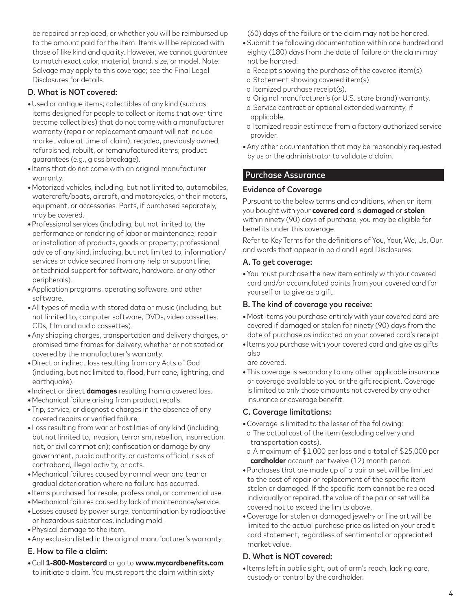be repaired or replaced, or whether you will be reimbursed up to the amount paid for the item. Items will be replaced with those of like kind and quality. However, we cannot guarantee to match exact color, material, brand, size, or model. Note: Salvage may apply to this coverage; see the Final Legal Disclosures for details.

## D. What is NOT covered:

- **•**Used or antique items; collectibles of any kind (such as items designed for people to collect or items that over time become collectibles) that do not come with a manufacturer warranty (repair or replacement amount will not include market value at time of claim); recycled, previously owned, refurbished, rebuilt, or remanufactured items; product guarantees (e.g., glass breakage).
- **•** Items that do not come with an original manufacturer warranty.
- **•**Motorized vehicles, including, but not limited to, automobiles, watercraft/boats, aircraft, and motorcycles, or their motors, equipment, or accessories. Parts, if purchased separately, may be covered.
- **•**Professional services (including, but not limited to, the performance or rendering of labor or maintenance; repair or installation of products, goods or property; professional advice of any kind, including, but not limited to, information/ services or advice secured from any help or support line; or technical support for software, hardware, or any other peripherals).
- **•**Application programs, operating software, and other software.
- **•**All types of media with stored data or music (including, but not limited to, computer software, DVDs, video cassettes, CDs, film and audio cassettes).
- **•**Any shipping charges, transportation and delivery charges, or promised time frames for delivery, whether or not stated or covered by the manufacturer's warranty.
- **•**Direct or indirect loss resulting from any Acts of God (including, but not limited to, flood, hurricane, lightning, and earthquake).
- **•** Indirect or direct **damages** resulting from a covered loss.
- **•**Mechanical failure arising from product recalls.
- **•**Trip, service, or diagnostic charges in the absence of any covered repairs or verified failure.
- **•**Loss resulting from war or hostilities of any kind (including, but not limited to, invasion, terrorism, rebellion, insurrection, riot, or civil commotion); confiscation or damage by any government, public authority, or customs official; risks of contraband, illegal activity, or acts.
- **•**Mechanical failures caused by normal wear and tear or gradual deterioration where no failure has occurred.
- **•** Items purchased for resale, professional, or commercial use.
- **•**Mechanical failures caused by lack of maintenance/service.
- **•**Losses caused by power surge, contamination by radioactive or hazardous substances, including mold.
- **•**Physical damage to the item.
- **•**Any exclusion listed in the original manufacturer's warranty.

## E. How to file a claim:

**•**Call **1-800-Mastercard** or go to **www.mycardbenefits.com** to initiate a claim. You must report the claim within sixty

(60) days of the failure or the claim may not be honored.

- **•**Submit the following documentation within one hundred and eighty (180) days from the date of failure or the claim may not be honored:
- o Receipt showing the purchase of the covered item(s).
- o Statement showing covered item(s).
- o Itemized purchase receipt(s).
- o Original manufacturer's (or U.S. store brand) warranty.
- o Service contract or optional extended warranty, if applicable.
- o Itemized repair estimate from a factory authorized service provider.
- **•**Any other documentation that may be reasonably requested by us or the administrator to validate a claim.

# Purchase Assurance

## Evidence of Coverage

Pursuant to the below terms and conditions, when an item you bought with your **covered card** is **damaged** or **stolen** within ninety (90) days of purchase, you may be eligible for benefits under this coverage.

Refer to Key Terms for the definitions of You, Your, We, Us, Our, and words that appear in bold and Legal Disclosures.

## A. To get coverage:

**•**You must purchase the new item entirely with your covered card and/or accumulated points from your covered card for yourself or to give as a gift.

#### B. The kind of coverage you receive:

- **•**Most items you purchase entirely with your covered card are covered if damaged or stolen for ninety (90) days from the date of purchase as indicated on your covered card's receipt.
- **•** Items you purchase with your covered card and give as gifts also

are covered.

**•**This coverage is secondary to any other applicable insurance or coverage available to you or the gift recipient. Coverage is limited to only those amounts not covered by any other insurance or coverage benefit.

## C. Coverage limitations:

- **•**Coverage is limited to the lesser of the following: o The actual cost of the item (excluding delivery and
- transportation costs).
- o A maximum of \$1,000 per loss and a total of \$25,000 per **cardholder** account per twelve (12) month period.
- **•**Purchases that are made up of a pair or set will be limited to the cost of repair or replacement of the specific item stolen or damaged. If the specific item cannot be replaced individually or repaired, the value of the pair or set will be covered not to exceed the limits above.
- **•**Coverage for stolen or damaged jewelry or fine art will be limited to the actual purchase price as listed on your credit card statement, regardless of sentimental or appreciated market value.

## D. What is NOT covered:

**•** Items left in public sight, out of arm's reach, lacking care, custody or control by the cardholder.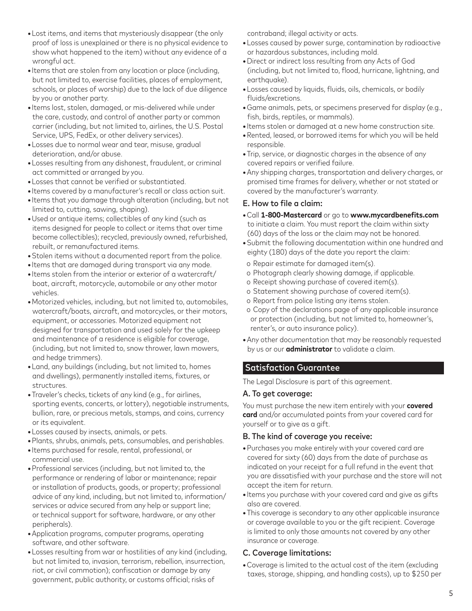- **•**Lost items, and items that mysteriously disappear (the only proof of loss is unexplained or there is no physical evidence to show what happened to the item) without any evidence of a wrongful act.
- **•** Items that are stolen from any location or place (including, but not limited to, exercise facilities, places of employment, schools, or places of worship) due to the lack of due diligence by you or another party.
- **•** Items lost, stolen, damaged, or mis-delivered while under the care, custody, and control of another party or common carrier (including, but not limited to, airlines, the U.S. Postal Service, UPS, FedEx, or other delivery services).
- **•**Losses due to normal wear and tear, misuse, gradual deterioration, and/or abuse.
- **•**Losses resulting from any dishonest, fraudulent, or criminal act committed or arranged by you.
- **•**Losses that cannot be verified or substantiated.
- **•** Items covered by a manufacturer's recall or class action suit.
- **•** Items that you damage through alteration (including, but not limited to, cutting, sawing, shaping).
- **•**Used or antique items; collectibles of any kind (such as items designed for people to collect or items that over time become collectibles); recycled, previously owned, refurbished, rebuilt, or remanufactured items.
- **•**Stolen items without a documented report from the police.
- **•** Items that are damaged during transport via any mode.
- **•** Items stolen from the interior or exterior of a watercraft/ boat, aircraft, motorcycle, automobile or any other motor vehicles.
- **•**Motorized vehicles, including, but not limited to, automobiles, watercraft/boats, aircraft, and motorcycles, or their motors, equipment, or accessories. Motorized equipment not designed for transportation and used solely for the upkeep and maintenance of a residence is eligible for coverage, (including, but not limited to, snow thrower, lawn mowers, and hedge trimmers).
- **•**Land, any buildings (including, but not limited to, homes and dwellings), permanently installed items, fixtures, or structures.
- **•**Traveler's checks, tickets of any kind (e.g., for airlines, sporting events, concerts, or lottery), negotiable instruments, bullion, rare, or precious metals, stamps, and coins, currency or its equivalent.
- **•**Losses caused by insects, animals, or pets.
- **•**Plants, shrubs, animals, pets, consumables, and perishables.
- **•** Items purchased for resale, rental, professional, or commercial use.
- **•**Professional services (including, but not limited to, the performance or rendering of labor or maintenance; repair or installation of products, goods, or property; professional advice of any kind, including, but not limited to, information/ services or advice secured from any help or support line; or technical support for software, hardware, or any other peripherals).
- **•**Application programs, computer programs, operating software, and other software.
- **•**Losses resulting from war or hostilities of any kind (including, but not limited to, invasion, terrorism, rebellion, insurrection, riot, or civil commotion); confiscation or damage by any government, public authority, or customs official; risks of

contraband; illegal activity or acts.

- **•**Losses caused by power surge, contamination by radioactive or hazardous substances, including mold.
- **•**Direct or indirect loss resulting from any Acts of God (including, but not limited to, flood, hurricane, lightning, and earthauake).
- **•**Losses caused by liquids, fluids, oils, chemicals, or bodily fluids/excretions.
- **•**Game animals, pets, or specimens preserved for display (e.g., fish, birds, reptiles, or mammals).
- **•** Items stolen or damaged at a new home construction site.
- **•**Rented, leased, or borrowed items for which you will be held responsible.
- **•**Trip, service, or diagnostic charges in the absence of any covered repairs or verified failure.
- **•**Any shipping charges, transportation and delivery charges, or promised time frames for delivery, whether or not stated or covered by the manufacturer's warranty.

## E. How to file a claim:

- **•**Call **1-800-Mastercard** or go to **www.mycardbenefits.com** to initiate a claim. You must report the claim within sixty (60) days of the loss or the claim may not be honored.
- **•**Submit the following documentation within one hundred and eighty (180) days of the date you report the claim:
- o Repair estimate for damaged item(s).
- o Photograph clearly showing damage, if applicable.
- o Receipt showing purchase of covered item(s).
- o Statement showing purchase of covered item(s).
- o Report from police listing any items stolen.
- o Copy of the declarations page of any applicable insurance or protection (including, but not limited to, homeowner's, renter's, or auto insurance policy).
- **•**Any other documentation that may be reasonably requested by us or our **administrator** to validate a claim.

# Satisfaction Guarantee

The Legal Disclosure is part of this agreement.

#### A. To get coverage:

You must purchase the new item entirely with your **covered card** and/or accumulated points from your covered card for yourself or to give as a gift.

## B. The kind of coverage you receive:

- **•**Purchases you make entirely with your covered card are covered for sixty (60) days from the date of purchase as indicated on your receipt for a full refund in the event that you are dissatisfied with your purchase and the store will not accept the item for return.
- **•** Items you purchase with your covered card and give as gifts also are covered.
- **•**This coverage is secondary to any other applicable insurance or coverage available to you or the gift recipient. Coverage is limited to only those amounts not covered by any other insurance or coverage.

## C. Coverage limitations:

**•**Coverage is limited to the actual cost of the item (excluding taxes, storage, shipping, and handling costs), up to \$250 per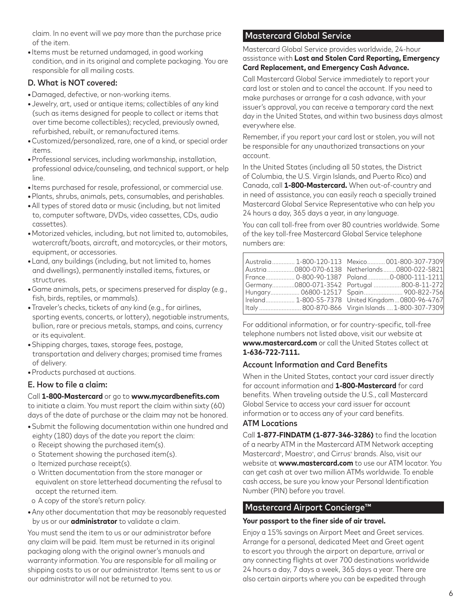claim. In no event will we pay more than the purchase price of the item.

**•** Items must be returned undamaged, in good working condition, and in its original and complete packaging. You are responsible for all mailing costs.

## D. What is NOT covered:

- **•**Damaged, defective, or non-working items.
- **•**Jewelry, art, used or antique items; collectibles of any kind (such as items designed for people to collect or items that over time become collectibles); recycled, previously owned, refurbished, rebuilt, or remanufactured items.
- **•**Customized/personalized, rare, one of a kind, or special order items.
- **•**Professional services, including workmanship, installation, professional advice/counseling, and technical support, or help line.
- **•** Items purchased for resale, professional, or commercial use.
- **•**Plants, shrubs, animals, pets, consumables, and perishables.
- **•**All types of stored data or music (including, but not limited to, computer software, DVDs, video cassettes, CDs, audio cassettes).
- **•**Motorized vehicles, including, but not limited to, automobiles, watercraft/boats, aircraft, and motorcycles, or their motors, equipment, or accessories.
- **•**Land, any buildings (including, but not limited to, homes and dwellings), permanently installed items, fixtures, or structures.
- **•**Game animals, pets, or specimens preserved for display (e.g., fish, birds, reptiles, or mammals).
- **•**Traveler's checks, tickets of any kind (e.g., for airlines, sporting events, concerts, or lottery), negotiable instruments, bullion, rare or precious metals, stamps, and coins, currency or its equivalent.
- **•**Shipping charges, taxes, storage fees, postage, transportation and delivery charges; promised time frames of delivery.
- **•**Products purchased at auctions.

## E. How to file a claim:

#### Call **1-800-Mastercard** or go to **www.mycardbenefits.com**

to initiate a claim. You must report the claim within sixty (60) days of the date of purchase or the claim may not be honored.

- **•**Submit the following documentation within one hundred and eighty (180) days of the date you report the claim:
- o Receipt showing the purchased item(s).
- o Statement showing the purchased item(s).
- o Itemized purchase receipt(s).
- o Written documentation from the store manager or equivalent on store letterhead documenting the refusal to accept the returned item.
- o A copy of the store's return policy.
- **•**Any other documentation that may be reasonably requested by us or our **administrator** to validate a claim.

You must send the item to us or our administrator before any claim will be paid. Item must be returned in its original packaging along with the original owner's manuals and warranty information. You are responsible for all mailing or shipping costs to us or our administrator. Items sent to us or our administrator will not be returned to you.

# Mastercard Global Service

Mastercard Global Service provides worldwide, 24-hour assistance with **Lost and Stolen Card Reporting, Emergency Card Replacement, and Emergency Cash Advance.**

Call Mastercard Global Service immediately to report your card lost or stolen and to cancel the account. If you need to make purchases or arrange for a cash advance, with your issuer's approval, you can receive a temporary card the next day in the United States, and within two business days almost everywhere else.

Remember, if you report your card lost or stolen, you will not be responsible for any unauthorized transactions on your account.

In the United States (including all 50 states, the District of Columbia, the U.S. Virgin Islands, and Puerto Rico) and Canada, call **1-800-Mastercard.** When out-of-country and in need of assistance, you can easily reach a specially trained Mastercard Global Service Representative who can help you 24 hours a day, 365 days a year, in any language.

You can call toll-free from over 80 countries worldwide. Some of the key toll-free Mastercard Global Service telephone numbers are:

|  | Australia  1-800-120-113 Mexico  001-800-307-7309    |
|--|------------------------------------------------------|
|  | Austria 0800-070-6138 Netherlands 0800-022-5821      |
|  | France 0-800-90-1387 Poland0-0800-111-1211           |
|  | Germany0800-071-3542 Portugal 800-8-11-272           |
|  | Hungary 06800-12517 Spain 900-822-756                |
|  | Ireland 1-800-55-7378 United Kingdom0800-96-4767     |
|  | Italy  800-870-866    Virgin Islands  1-800-307-7309 |

For additional information, or for country-specific, toll-free telephone numbers not listed above, visit our website at **www.mastercard.com** or call the United States collect at **1-636-722-7111.**

# Account Information and Card Benefits

When in the United States, contact your card issuer directly for account information and **1-800-Mastercard** for card benefits. When traveling outside the U.S., call Mastercard Global Service to access your card issuer for account information or to access any of your card benefits.

#### ATM Locations

Call **1-877-FINDATM (1-877-346-3286)** to find the location of a nearby ATM in the Mastercard ATM Network accepting Mastercard®, Maestro®, and Cirrus® brands. Also, visit our website at **www.mastercard.com** to use our ATM locator. You can get cash at over two million ATMs worldwide. To enable cash access, be sure you know your Personal Identification Number (PIN) before you travel.

# Mastercard Airport Concierge™

#### **Your passport to the finer side of air travel.**

Enjoy a 15% savings on Airport Meet and Greet services. Arrange for a personal, dedicated Meet and Greet agent to escort you through the airport on departure, arrival or any connecting flights at over 700 destinations worldwide 24 hours a day, 7 days a week, 365 days a year. There are also certain airports where you can be expedited through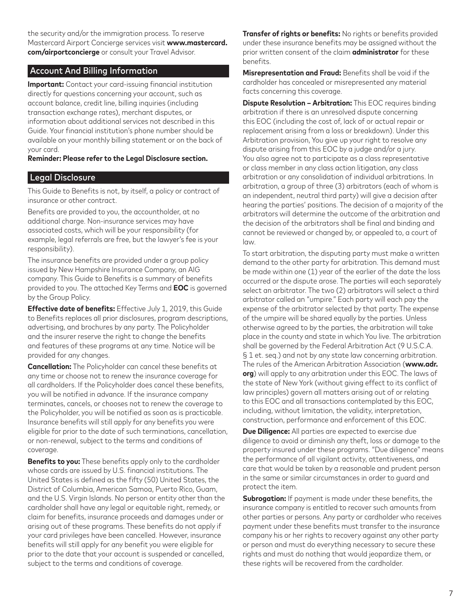the security and/or the immigration process. To reserve Mastercard Airport Concierge services visit **www.mastercard. com/airportconcierge** or consult your Travel Advisor.

## Account And Billing Information

**Important:** Contact your card-issuing financial institution directly for questions concerning your account, such as account balance, credit line, billing inquiries (including transaction exchange rates), merchant disputes, or information about additional services not described in this Guide. Your financial institution's phone number should be available on your monthly billing statement or on the back of your card.

#### **Reminder: Please refer to the Legal Disclosure section.**

## Legal Disclosure

This Guide to Benefits is not, by itself, a policy or contract of insurance or other contract.

Benefits are provided to you, the accountholder, at no additional charge. Non-insurance services may have associated costs, which will be your responsibility (for example, legal referrals are free, but the lawyer's fee is your responsibility).

The insurance benefits are provided under a group policy issued by New Hampshire Insurance Company, an AIG company. This Guide to Benefits is a summary of benefits provided to you. The attached Key Terms and **EOC** is governed by the Group Policy.

**Effective date of benefits:** Effective July 1, 2019, this Guide to Benefits replaces all prior disclosures, program descriptions, advertising, and brochures by any party. The Policyholder and the insurer reserve the right to change the benefits and features of these programs at any time. Notice will be provided for any changes.

**Cancellation:** The Policyholder can cancel these benefits at any time or choose not to renew the insurance coverage for all cardholders. If the Policyholder does cancel these benefits, you will be notified in advance. If the insurance company terminates, cancels, or chooses not to renew the coverage to the Policyholder, you will be notified as soon as is practicable. Insurance benefits will still apply for any benefits you were eligible for prior to the date of such terminations, cancellation, or non-renewal, subject to the terms and conditions of coverage.

**Benefits to you:** These benefits apply only to the cardholder whose cards are issued by U.S. financial institutions. The United States is defined as the fifty (50) United States, the District of Columbia, American Samoa, Puerto Rico, Guam, and the U.S. Virgin Islands. No person or entity other than the cardholder shall have any legal or equitable right, remedy, or claim for benefits, insurance proceeds and damages under or arising out of these programs. These benefits do not apply if your card privileges have been cancelled. However, insurance benefits will still apply for any benefit you were eligible for prior to the date that your account is suspended or cancelled, subject to the terms and conditions of coverage.

**Transfer of rights or benefits:** No rights or benefits provided under these insurance benefits may be assigned without the prior written consent of the claim **administrator** for these benefits.

**Misrepresentation and Fraud:** Benefits shall be void if the cardholder has concealed or misrepresented any material facts concerning this coverage.

**Dispute Resolution – Arbitration:** This EOC requires binding arbitration if there is an unresolved dispute concerning this EOC (including the cost of, lack of or actual repair or replacement arising from a loss or breakdown). Under this Arbitration provision, You give up your right to resolve any dispute arising from this EOC by a judge and/or a jury. You also agree not to participate as a class representative or class member in any class action litigation, any class arbitration or any consolidation of individual arbitrations. In arbitration, a group of three (3) arbitrators (each of whom is an independent, neutral third party) will give a decision after hearing the parties' positions. The decision of a majority of the arbitrators will determine the outcome of the arbitration and the decision of the arbitrators shall be final and binding and cannot be reviewed or changed by, or appealed to, a court of law.

To start arbitration, the disputing party must make a written demand to the other party for arbitration. This demand must be made within one (1) year of the earlier of the date the loss occurred or the dispute arose. The parties will each separately select an arbitrator. The two (2) arbitrators will select a third arbitrator called an "umpire." Each party will each pay the expense of the arbitrator selected by that party. The expense of the umpire will be shared equally by the parties. Unless otherwise agreed to by the parties, the arbitration will take place in the county and state in which You live. The arbitration shall be governed by the Federal Arbitration Act (9 U.S.C.A. § 1 et. seq.) and not by any state law concerning arbitration. The rules of the American Arbitration Association (**www.adr. org**) will apply to any arbitration under this EOC. The laws of the state of New York (without giving effect to its conflict of law principles) govern all matters arising out of or relating to this EOC and all transactions contemplated by this EOC, including, without limitation, the validity, interpretation, construction, performance and enforcement of this EOC.

**Due Diligence:** All parties are expected to exercise due diligence to avoid or diminish any theft, loss or damage to the property insured under these programs. "Due diligence" means the performance of all vigilant activity, attentiveness, and care that would be taken by a reasonable and prudent person in the same or similar circumstances in order to guard and protect the item.

**Subrogation:** If payment is made under these benefits, the insurance company is entitled to recover such amounts from other parties or persons. Any party or cardholder who receives payment under these benefits must transfer to the insurance company his or her rights to recovery against any other party or person and must do everything necessary to secure these rights and must do nothing that would jeopardize them, or these rights will be recovered from the cardholder.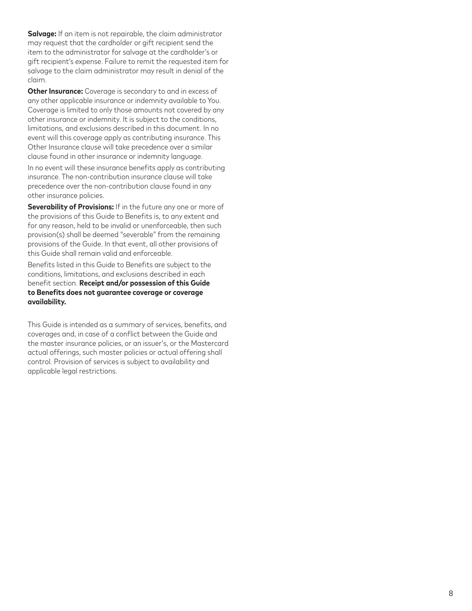**Salvage:** If an item is not repairable, the claim administrator may request that the cardholder or gift recipient send the item to the administrator for salvage at the cardholder's or gift recipient's expense. Failure to remit the requested item for salvage to the claim administrator may result in denial of the claim.

**Other Insurance:** Coverage is secondary to and in excess of any other applicable insurance or indemnity available to You. Coverage is limited to only those amounts not covered by any other insurance or indemnity. It is subject to the conditions, limitations, and exclusions described in this document. In no event will this coverage apply as contributing insurance. This Other Insurance clause will take precedence over a similar clause found in other insurance or indemnity language.

In no event will these insurance benefits apply as contributing insurance. The non-contribution insurance clause will take precedence over the non-contribution clause found in any other insurance policies.

**Severability of Provisions:** If in the future any one or more of the provisions of this Guide to Benefits is, to any extent and for any reason, held to be invalid or unenforceable, then such provision(s) shall be deemed "severable" from the remaining provisions of the Guide. In that event, all other provisions of this Guide shall remain valid and enforceable.

Benefits listed in this Guide to Benefits are subject to the conditions, limitations, and exclusions described in each benefit section. **Receipt and/or possession of this Guide to Benefits does not guarantee coverage or coverage availability.**

This Guide is intended as a summary of services, benefits, and coverages and, in case of a conflict between the Guide and the master insurance policies, or an issuer's, or the Mastercard actual offerings, such master policies or actual offering shall control. Provision of services is subject to availability and applicable legal restrictions.